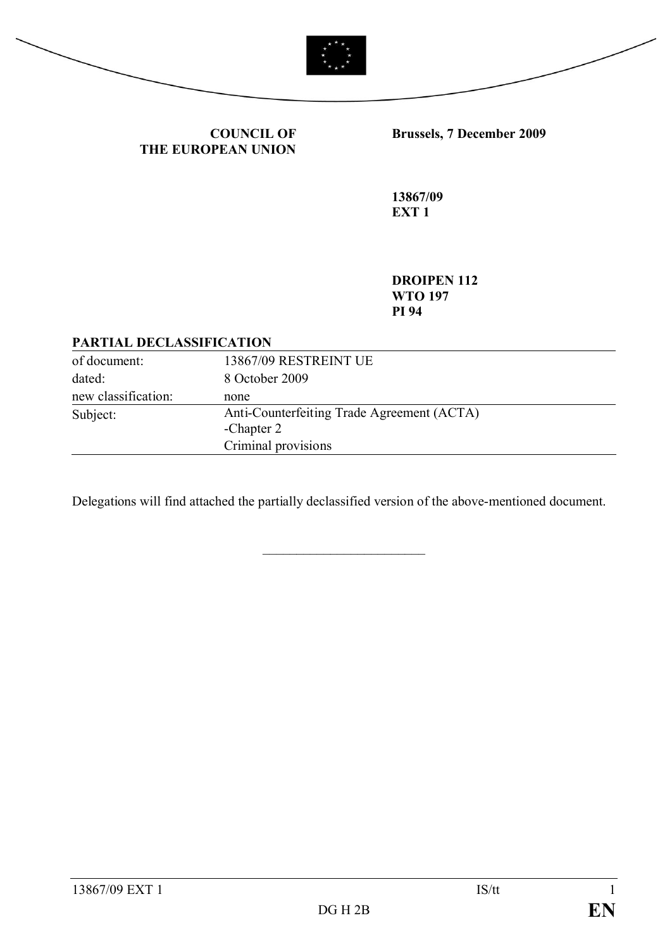



**COUNCIL OF THE EUROPEAN UNION**

**Brussels, 7 December 2009**

**13867/09 EXT 1**

**DROIPEN 112 WTO 197 PI 94**

## **PARTIAL DECLASSIFICATION**

| of document:        | 13867/09 RESTREINT UE                                    |
|---------------------|----------------------------------------------------------|
| dated:              | 8 October 2009                                           |
| new classification: | none                                                     |
| Subject:            | Anti-Counterfeiting Trade Agreement (ACTA)<br>-Chapter 2 |
|                     | Criminal provisions                                      |

Delegations will find attached the partially declassified version of the above-mentioned document.

 $\overline{\phantom{a}}$  , which is a set of the set of the set of the set of the set of the set of the set of the set of the set of the set of the set of the set of the set of the set of the set of the set of the set of the set of th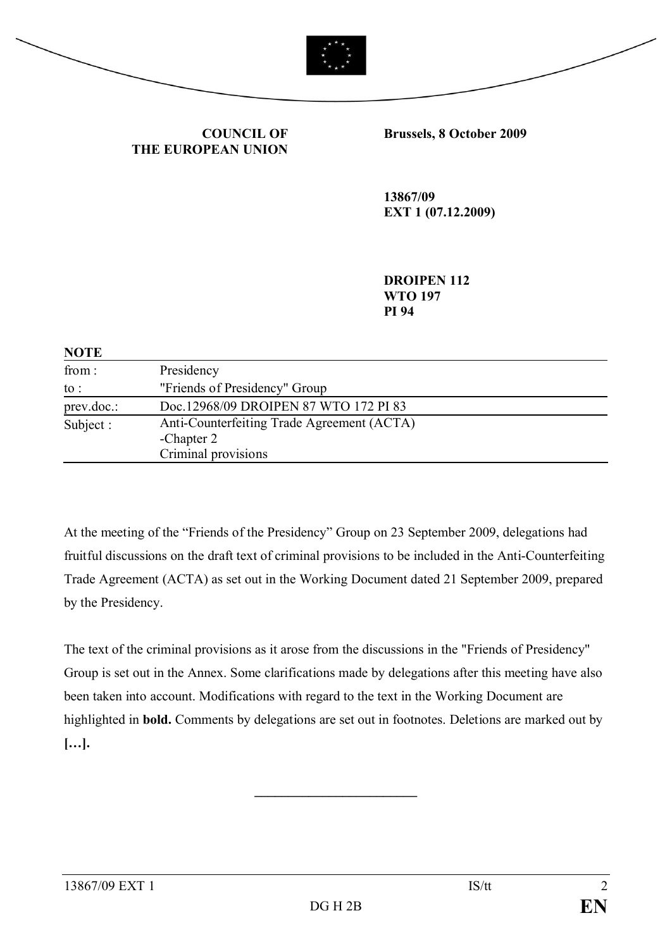



**COUNCIL OF THE EUROPEAN UNION** **Brussels, 8 October 2009**

**13867/09 EXT 1 (07.12.2009)**

**DROIPEN 112 WTO 197 PI 94**

| <b>NOTE</b> |                                                                                 |
|-------------|---------------------------------------------------------------------------------|
| from:       | Presidency                                                                      |
| to :        | "Friends of Presidency" Group                                                   |
| prev.doc.:  | Doc.12968/09 DROIPEN 87 WTO 172 PI 83                                           |
| Subject :   | Anti-Counterfeiting Trade Agreement (ACTA)<br>-Chapter 2<br>Criminal provisions |

At the meeting of the "Friends of the Presidency" Group on 23 September 2009, delegations had fruitful discussions on the draft text of criminal provisions to be included in the Anti-Counterfeiting Trade Agreement (ACTA) as set out in the Working Document dated 21 September 2009, prepared by the Presidency.

The text of the criminal provisions as it arose from the discussions in the "Friends of Presidency" Group is set out in the Annex. Some clarifications made by delegations after this meeting have also been taken into account. Modifications with regard to the text in the Working Document are highlighted in **bold.** Comments by delegations are set out in footnotes. Deletions are marked out by **[…].**

**\_\_\_\_\_\_\_\_\_\_\_\_\_\_\_\_\_\_\_\_\_\_\_\_**